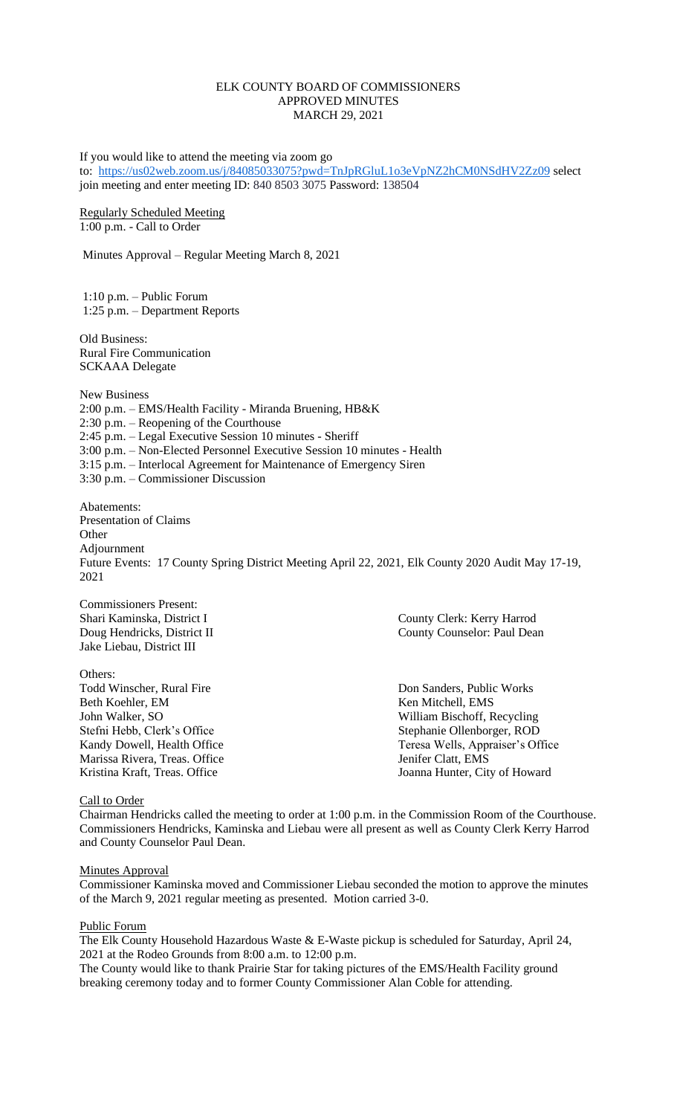## ELK COUNTY BOARD OF COMMISSIONERS APPROVED MINUTES MARCH 29, 2021

If you would like to attend the meeting via zoom go to: <https://us02web.zoom.us/j/84085033075?pwd=TnJpRGluL1o3eVpNZ2hCM0NSdHV2Zz09> select join meeting and enter meeting ID: 840 8503 3075 Password: 138504

Regularly Scheduled Meeting 1:00 p.m. - Call to Order

Minutes Approval – Regular Meeting March 8, 2021

1:10 p.m. – Public Forum 1:25 p.m. – Department Reports

Old Business: Rural Fire Communication SCKAAA Delegate

New Business 2:00 p.m. – EMS/Health Facility - Miranda Bruening, HB&K  $2:30$  p.m. – Reopening of the Courthouse 2:45 p.m. – Legal Executive Session 10 minutes - Sheriff 3:00 p.m. – Non-Elected Personnel Executive Session 10 minutes - Health 3:15 p.m. – Interlocal Agreement for Maintenance of Emergency Siren 3:30 p.m. – Commissioner Discussion

Abatements: Presentation of Claims **Other** Adjournment Future Events: 17 County Spring District Meeting April 22, 2021, Elk County 2020 Audit May 17-19, 2021

Commissioners Present: Jake Liebau, District III

Others: Todd Winscher, Rural Fire Don Sanders, Public Works Beth Koehler, EM Ken Mitchell, EMS John Walker, SO William Bischoff, Recycling Stefni Hebb, Clerk's Office Stephanie Ollenborger, ROD Marissa Rivera, Treas. Office Jenifer Clatt, EMS

Shari Kaminska, District I County Clerk: Kerry Harrod Doug Hendricks, District II County Counselor: Paul Dean

Kandy Dowell, Health Office Teresa Wells, Appraiser's Office Kristina Kraft, Treas. Office Joanna Hunter, City of Howard

### Call to Order

Chairman Hendricks called the meeting to order at 1:00 p.m. in the Commission Room of the Courthouse. Commissioners Hendricks, Kaminska and Liebau were all present as well as County Clerk Kerry Harrod and County Counselor Paul Dean.

### **Minutes Approval**

Commissioner Kaminska moved and Commissioner Liebau seconded the motion to approve the minutes of the March 9, 2021 regular meeting as presented. Motion carried 3-0.

### Public Forum

The Elk County Household Hazardous Waste & E-Waste pickup is scheduled for Saturday, April 24, 2021 at the Rodeo Grounds from 8:00 a.m. to 12:00 p.m.

The County would like to thank Prairie Star for taking pictures of the EMS/Health Facility ground breaking ceremony today and to former County Commissioner Alan Coble for attending.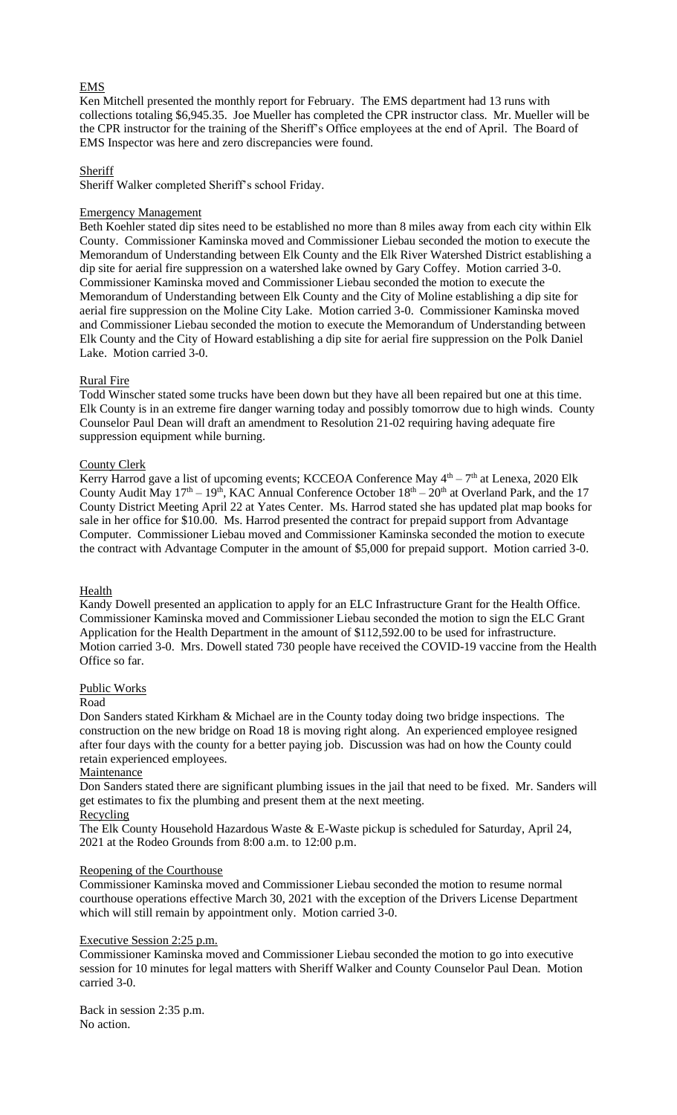# EMS

Ken Mitchell presented the monthly report for February. The EMS department had 13 runs with collections totaling \$6,945.35. Joe Mueller has completed the CPR instructor class. Mr. Mueller will be the CPR instructor for the training of the Sheriff's Office employees at the end of April. The Board of EMS Inspector was here and zero discrepancies were found.

## Sheriff

Sheriff Walker completed Sheriff's school Friday.

### Emergency Management

Beth Koehler stated dip sites need to be established no more than 8 miles away from each city within Elk County. Commissioner Kaminska moved and Commissioner Liebau seconded the motion to execute the Memorandum of Understanding between Elk County and the Elk River Watershed District establishing a dip site for aerial fire suppression on a watershed lake owned by Gary Coffey. Motion carried 3-0. Commissioner Kaminska moved and Commissioner Liebau seconded the motion to execute the Memorandum of Understanding between Elk County and the City of Moline establishing a dip site for aerial fire suppression on the Moline City Lake. Motion carried 3-0. Commissioner Kaminska moved and Commissioner Liebau seconded the motion to execute the Memorandum of Understanding between Elk County and the City of Howard establishing a dip site for aerial fire suppression on the Polk Daniel Lake. Motion carried 3-0.

### Rural Fire

Todd Winscher stated some trucks have been down but they have all been repaired but one at this time. Elk County is in an extreme fire danger warning today and possibly tomorrow due to high winds. County Counselor Paul Dean will draft an amendment to Resolution 21-02 requiring having adequate fire suppression equipment while burning.

### County Clerk

Kerry Harrod gave a list of upcoming events; KCCEOA Conference May  $4<sup>th</sup> - 7<sup>th</sup>$  at Lenexa, 2020 Elk County Audit May  $17<sup>th</sup> - 19<sup>th</sup>$ , KAC Annual Conference October  $18<sup>th</sup> - 20<sup>th</sup>$  at Overland Park, and the 17 County District Meeting April 22 at Yates Center. Ms. Harrod stated she has updated plat map books for sale in her office for \$10.00. Ms. Harrod presented the contract for prepaid support from Advantage Computer. Commissioner Liebau moved and Commissioner Kaminska seconded the motion to execute the contract with Advantage Computer in the amount of \$5,000 for prepaid support. Motion carried 3-0.

### **Health**

Kandy Dowell presented an application to apply for an ELC Infrastructure Grant for the Health Office. Commissioner Kaminska moved and Commissioner Liebau seconded the motion to sign the ELC Grant Application for the Health Department in the amount of \$112,592.00 to be used for infrastructure. Motion carried 3-0. Mrs. Dowell stated 730 people have received the COVID-19 vaccine from the Health Office so far.

### Public Works

### Road

Don Sanders stated Kirkham & Michael are in the County today doing two bridge inspections. The construction on the new bridge on Road 18 is moving right along. An experienced employee resigned after four days with the county for a better paying job. Discussion was had on how the County could retain experienced employees.

### **Maintenance**

Don Sanders stated there are significant plumbing issues in the jail that need to be fixed. Mr. Sanders will get estimates to fix the plumbing and present them at the next meeting.

# Recycling

The Elk County Household Hazardous Waste & E-Waste pickup is scheduled for Saturday, April 24, 2021 at the Rodeo Grounds from 8:00 a.m. to 12:00 p.m.

# Reopening of the Courthouse

Commissioner Kaminska moved and Commissioner Liebau seconded the motion to resume normal courthouse operations effective March 30, 2021 with the exception of the Drivers License Department which will still remain by appointment only. Motion carried 3-0.

### Executive Session 2:25 p.m.

Commissioner Kaminska moved and Commissioner Liebau seconded the motion to go into executive session for 10 minutes for legal matters with Sheriff Walker and County Counselor Paul Dean. Motion carried 3-0.

Back in session 2:35 p.m. No action.